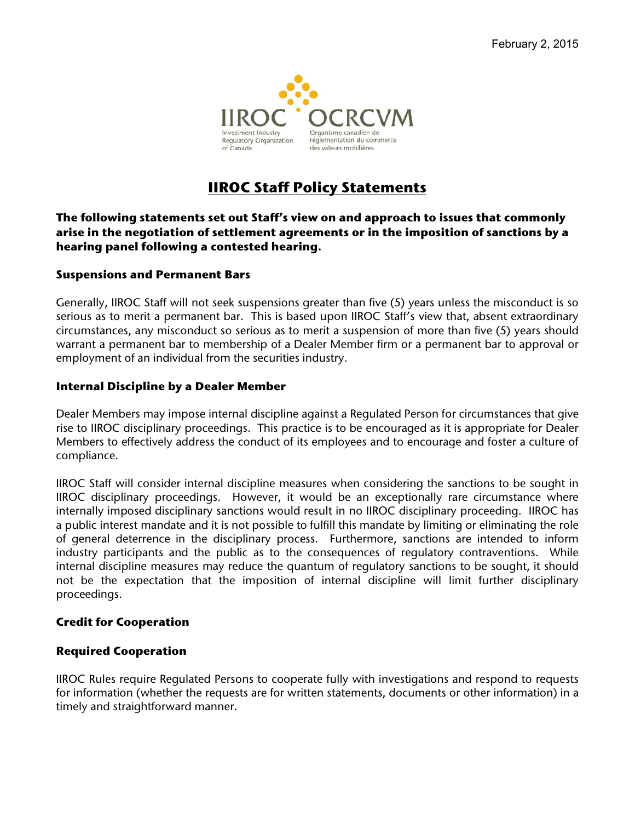

# **IIROC Staff Policy Statements**

#### **The following statements set out Staff's view on and approach to issues that commonly arise in the negotiation of settlement agreements or in the imposition of sanctions by a hearing panel following a contested hearing.**

#### **Suspensions and Permanent Bars**

 Generally, IIROC Staff will not seek suspensions greater than five (5) years unless the misconduct is so serious as to merit a permanent bar. This is based upon IIROC Staff's view that, absent extraordinary warrant a permanent bar to membership of a Dealer Member firm or a permanent bar to approval or circumstances, any misconduct so serious as to merit a suspension of more than five (5) years should employment of an individual from the securities industry.

#### **Internal Discipline by a Dealer Member**

 rise to IIROC disciplinary proceedings. This practice is to be encouraged as it is appropriate for Dealer Dealer Members may impose internal discipline against a Regulated Person for circumstances that give Members to effectively address the conduct of its employees and to encourage and foster a culture of compliance.

 IIROC disciplinary proceedings. However, it would be an exceptionally rare circumstance where internally imposed disciplinary sanctions would result in no IIROC disciplinary proceeding. IIROC has a public interest mandate and it is not possible to fulfill this mandate by limiting or eliminating the role industry participants and the public as to the consequences of regulatory contraventions. While internal discipline measures may reduce the quantum of regulatory sanctions to be sought, it should not be the expectation that the imposition of internal discipline will limit further disciplinary proceedings. IIROC Staff will consider internal discipline measures when considering the sanctions to be sought in of general deterrence in the disciplinary process. Furthermore, sanctions are intended to inform

#### **Credit for Cooperation**

### **Required Cooperation**

 timely and straightforward manner. IIROC Rules require Regulated Persons to cooperate fully with investigations and respond to requests for information (whether the requests are for written statements, documents or other information) in a